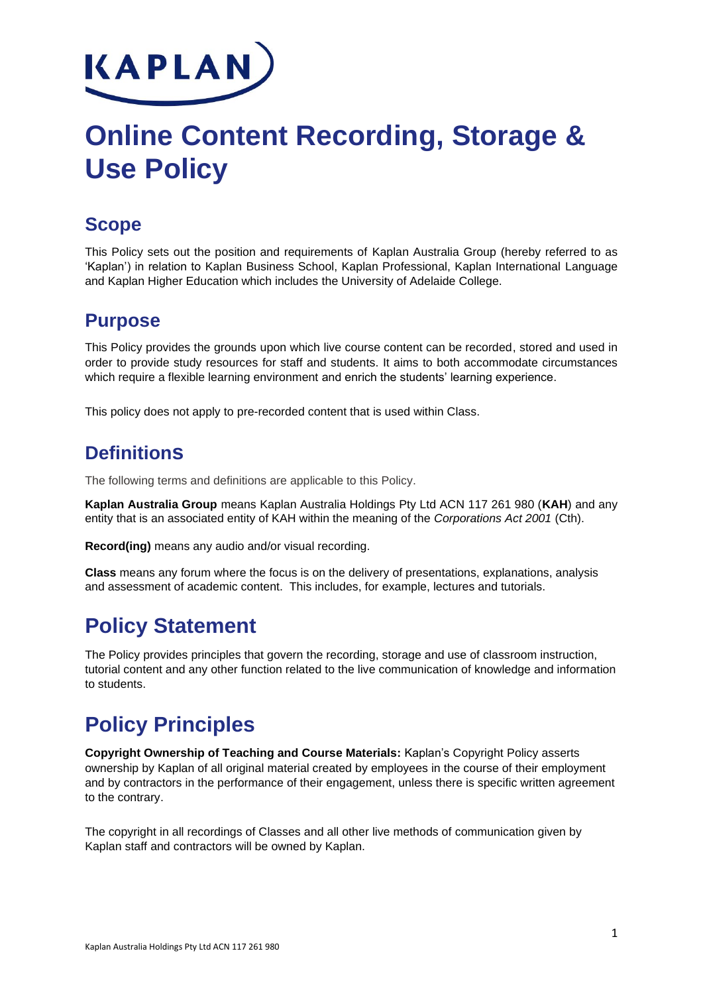

# **Online Content Recording, Storage & Use Policy**

## **Scope**

This Policy sets out the position and requirements of Kaplan Australia Group (hereby referred to as 'Kaplan') in relation to Kaplan Business School, Kaplan Professional, Kaplan International Language and Kaplan Higher Education which includes the University of Adelaide College.

### **Purpose**

This Policy provides the grounds upon which live course content can be recorded, stored and used in order to provide study resources for staff and students. It aims to both accommodate circumstances which require a flexible learning environment and enrich the students' learning experience.

This policy does not apply to pre-recorded content that is used within Class.

## **Definitions**

The following terms and definitions are applicable to this Policy.

**Kaplan Australia Group** means Kaplan Australia Holdings Pty Ltd ACN 117 261 980 (**KAH**) and any entity that is an associated entity of KAH within the meaning of the *Corporations Act 2001* (Cth).

**Record(ing)** means any audio and/or visual recording.

**Class** means any forum where the focus is on the delivery of presentations, explanations, analysis and assessment of academic content. This includes, for example, lectures and tutorials.

## **Policy Statement**

The Policy provides principles that govern the recording, storage and use of classroom instruction, tutorial content and any other function related to the live communication of knowledge and information to students.

## **Policy Principles**

**Copyright Ownership of Teaching and Course Materials:** Kaplan's Copyright Policy asserts ownership by Kaplan of all original material created by employees in the course of their employment and by contractors in the performance of their engagement, unless there is specific written agreement to the contrary.

The copyright in all recordings of Classes and all other live methods of communication given by Kaplan staff and contractors will be owned by Kaplan.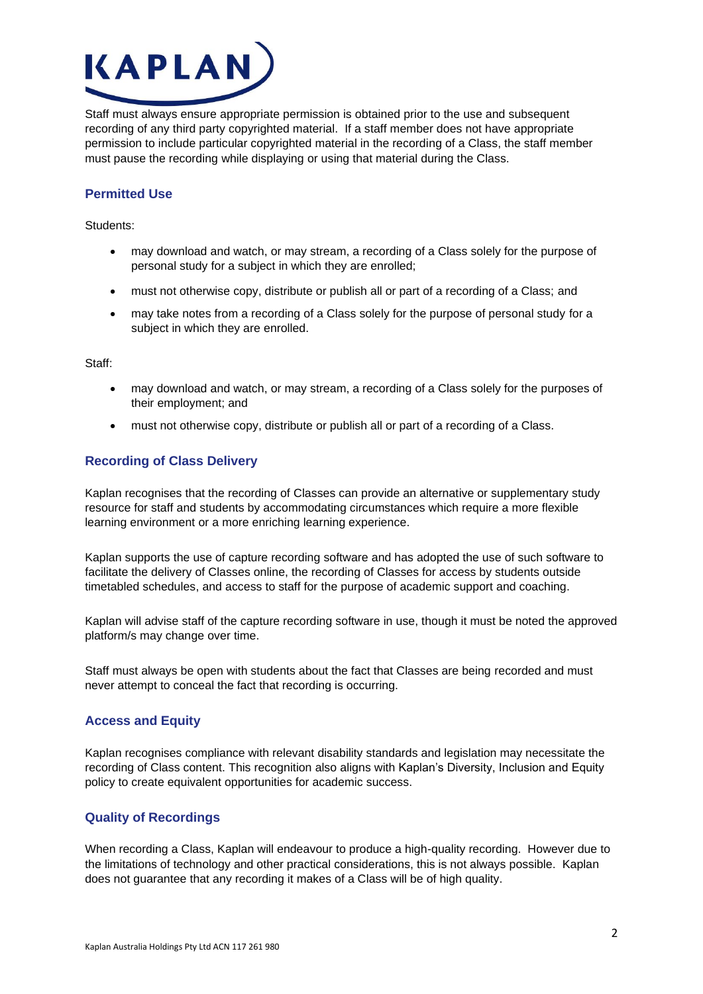

Staff must always ensure appropriate permission is obtained prior to the use and subsequent recording of any third party copyrighted material. If a staff member does not have appropriate permission to include particular copyrighted material in the recording of a Class, the staff member must pause the recording while displaying or using that material during the Class.

#### **Permitted Use**

Students:

- may download and watch, or may stream, a recording of a Class solely for the purpose of personal study for a subject in which they are enrolled;
- must not otherwise copy, distribute or publish all or part of a recording of a Class; and
- may take notes from a recording of a Class solely for the purpose of personal study for a subject in which they are enrolled.

Staff:

- may download and watch, or may stream, a recording of a Class solely for the purposes of their employment; and
- must not otherwise copy, distribute or publish all or part of a recording of a Class.

#### **Recording of Class Delivery**

Kaplan recognises that the recording of Classes can provide an alternative or supplementary study resource for staff and students by accommodating circumstances which require a more flexible learning environment or a more enriching learning experience.

Kaplan supports the use of capture recording software and has adopted the use of such software to facilitate the delivery of Classes online, the recording of Classes for access by students outside timetabled schedules, and access to staff for the purpose of academic support and coaching.

Kaplan will advise staff of the capture recording software in use, though it must be noted the approved platform/s may change over time.

Staff must always be open with students about the fact that Classes are being recorded and must never attempt to conceal the fact that recording is occurring.

#### **Access and Equity**

Kaplan recognises compliance with relevant disability standards and legislation may necessitate the recording of Class content. This recognition also aligns with Kaplan's Diversity, Inclusion and Equity policy to create equivalent opportunities for academic success.

#### **Quality of Recordings**

When recording a Class, Kaplan will endeavour to produce a high-quality recording. However due to the limitations of technology and other practical considerations, this is not always possible. Kaplan does not guarantee that any recording it makes of a Class will be of high quality.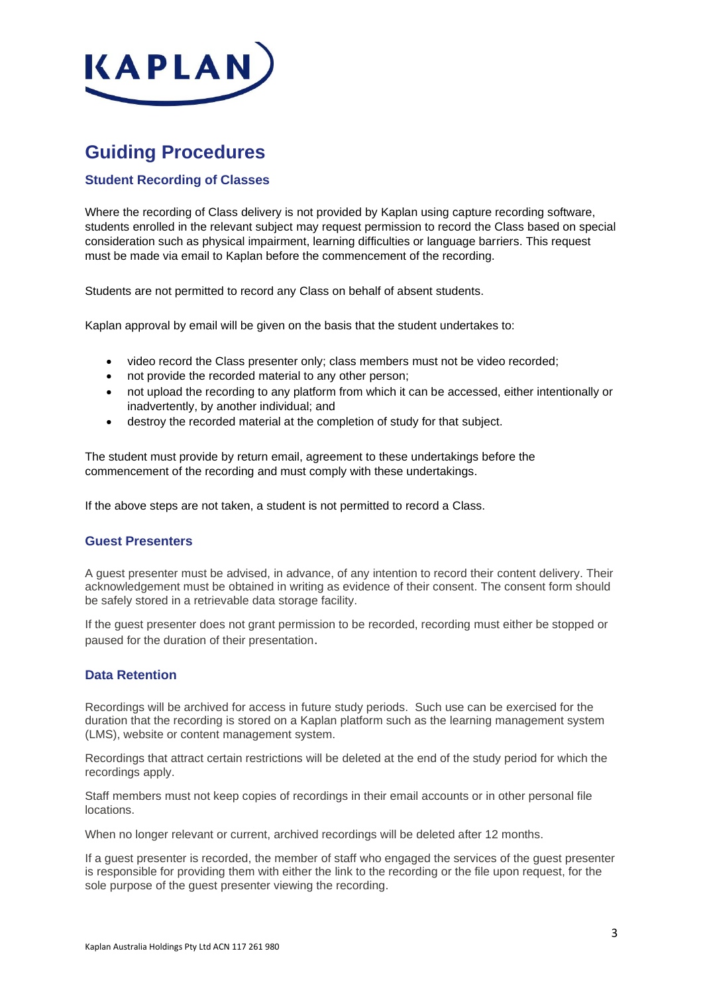

## **Guiding Procedures**

#### **Student Recording of Classes**

Where the recording of Class delivery is not provided by Kaplan using capture recording software, students enrolled in the relevant subject may request permission to record the Class based on special consideration such as physical impairment, learning difficulties or language barriers. This request must be made via email to Kaplan before the commencement of the recording.

Students are not permitted to record any Class on behalf of absent students.

Kaplan approval by email will be given on the basis that the student undertakes to:

- video record the Class presenter only; class members must not be video recorded;
- not provide the recorded material to any other person;
- not upload the recording to any platform from which it can be accessed, either intentionally or inadvertently, by another individual; and
- destroy the recorded material at the completion of study for that subject.

The student must provide by return email, agreement to these undertakings before the commencement of the recording and must comply with these undertakings.

If the above steps are not taken, a student is not permitted to record a Class.

#### **Guest Presenters**

A guest presenter must be advised, in advance, of any intention to record their content delivery. Their acknowledgement must be obtained in writing as evidence of their consent. The consent form should be safely stored in a retrievable data storage facility.

If the guest presenter does not grant permission to be recorded, recording must either be stopped or paused for the duration of their presentation.

#### **Data Retention**

Recordings will be archived for access in future study periods. Such use can be exercised for the duration that the recording is stored on a Kaplan platform such as the learning management system (LMS), website or content management system.

Recordings that attract certain restrictions will be deleted at the end of the study period for which the recordings apply.

Staff members must not keep copies of recordings in their email accounts or in other personal file locations.

When no longer relevant or current, archived recordings will be deleted after 12 months.

If a guest presenter is recorded, the member of staff who engaged the services of the guest presenter is responsible for providing them with either the link to the recording or the file upon request, for the sole purpose of the guest presenter viewing the recording.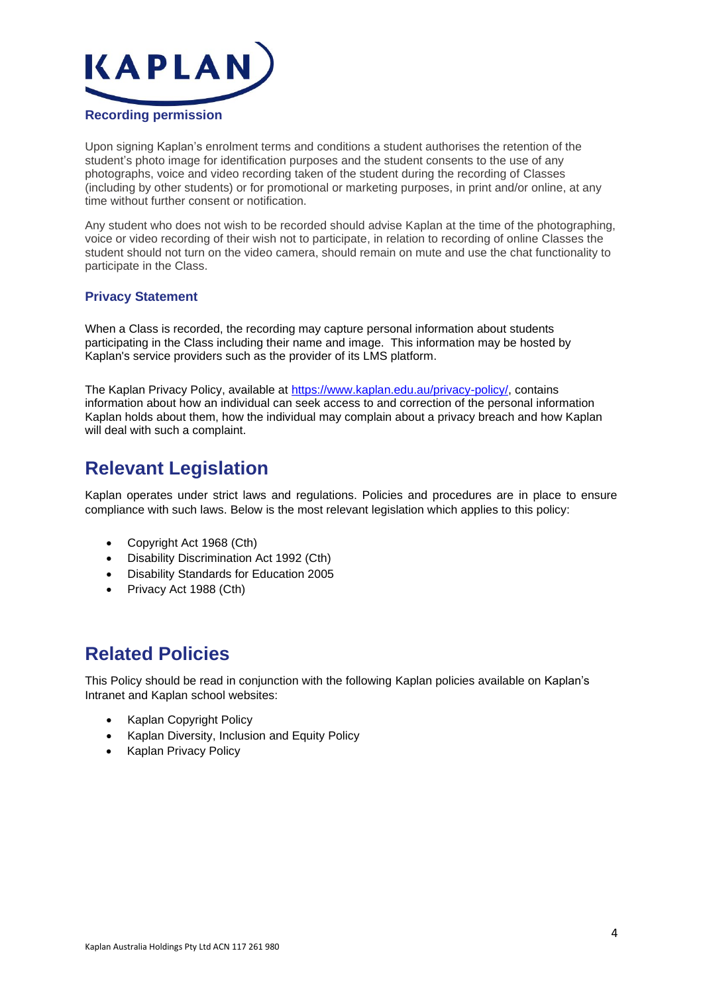

Upon signing Kaplan's enrolment terms and conditions a student authorises the retention of the student's photo image for identification purposes and the student consents to the use of any photographs, voice and video recording taken of the student during the recording of Classes (including by other students) or for promotional or marketing purposes, in print and/or online, at any time without further consent or notification.

Any student who does not wish to be recorded should advise Kaplan at the time of the photographing, voice or video recording of their wish not to participate, in relation to recording of online Classes the student should not turn on the video camera, should remain on mute and use the chat functionality to participate in the Class.

#### **Privacy Statement**

When a Class is recorded, the recording may capture personal information about students participating in the Class including their name and image. This information may be hosted by Kaplan's service providers such as the provider of its LMS platform.

The Kaplan Privacy Policy, available at [https://www.kaplan.edu.au/privacy-policy/,](https://www.kaplan.edu.au/privacy-policy/) contains information about how an individual can seek access to and correction of the personal information Kaplan holds about them, how the individual may complain about a privacy breach and how Kaplan will deal with such a complaint.

## **Relevant Legislation**

Kaplan operates under strict laws and regulations. Policies and procedures are in place to ensure compliance with such laws. Below is the most relevant legislation which applies to this policy:

- Copyright Act 1968 (Cth)
- Disability Discrimination Act 1992 (Cth)
- Disability Standards for Education 2005
- Privacy Act 1988 (Cth)

### **Related Policies**

This Policy should be read in conjunction with the following Kaplan policies available on Kaplan's Intranet and Kaplan school websites:

- Kaplan Copyright Policy
- Kaplan Diversity, Inclusion and Equity Policy
- Kaplan Privacy Policy